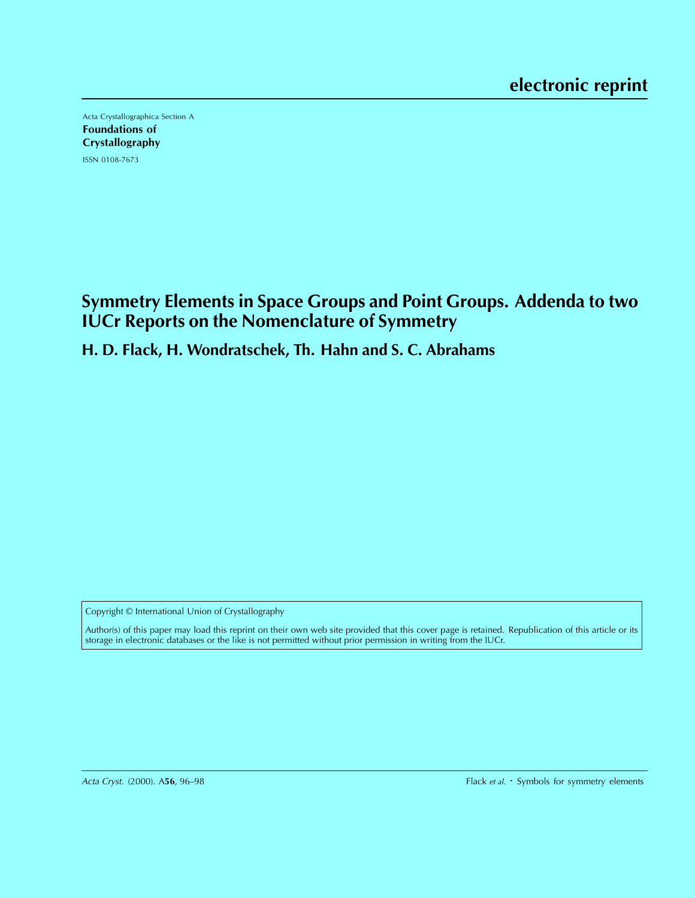Acta Crystallographica Section A Foundations of **Crystallography** ISSN 0108-7673

**Symmetry Elements in Space Groups and Point Groups. Addenda to two IUCr Reports on the Nomenclature of Symmetry**

# **H. D. Flack, H. Wondratschek, Th. Hahn and S. C. Abrahams**

Copyright © International Union of Crystallography

Author(s) of this paper may load this reprint on their own web site provided that this cover page is retained. Republication of this article or its storage in electronic databases or the like is not permitted without prior permission in writing from the IUCr.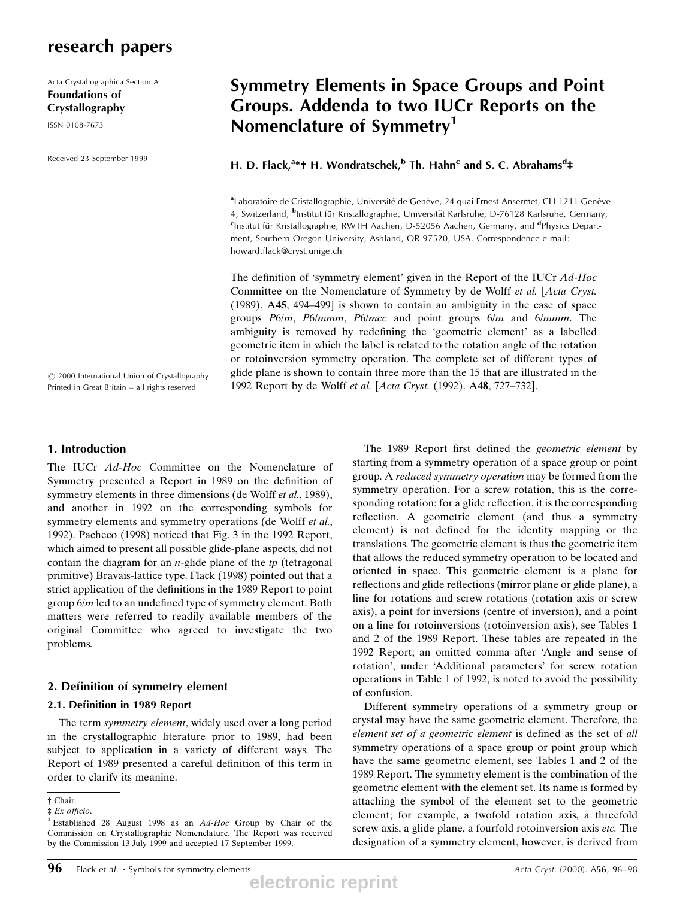# research papers

Acta Crystallographica Section A Foundations of Crystallography

ISSN 0108-7673

Received 23 September 1999

# Symmetry Elements in Space Groups and Point Groups. Addenda to two IUCr Reports on the Nomenclature of Symmetry<sup>1</sup>

H. D. Flack,<sup>a\*†</sup> H. Wondratschek,<sup>b</sup> Th. Hahn<sup>c</sup> and S. C. Abrahams<sup>d</sup>‡

<sup>a</sup> Laboratoire de Cristallographie, Université de Genève, 24 quai Ernest-Ansermet, CH-1211 Genève 4, Switzerland, <sup>b</sup>Institut für Kristallographie, Universität Karlsruhe, D-76128 Karlsruhe, Germany,<br>Stostitut für Kristallographie, PMTH Aachen, D-52056 Aachen, Germany, and <sup>d</sup>ehweiss Depart Institut für Kristallographie, RWTH Aachen, D-52056 Aachen, Germany, and <sup>d</sup>Physics Department, Southern Oregon University, Ashland, OR 97520, USA. Correspondence e-mail: howard.flack@cryst.unige.ch

The definition of 'symmetry element' given in the Report of the IUCr Ad-Hoc Committee on the Nomenclature of Symmetry by de Wolff et al. [Acta Cryst. (1989).  $A$ 45, 494-499] is shown to contain an ambiguity in the case of space groups P6/m, P6/mmm, P6/mcc and point groups 6/m and 6/mmm. The ambiguity is removed by redefining the 'geometric element' as a labelled geometric item in which the label is related to the rotation angle of the rotation or rotoinversion symmetry operation. The complete set of different types of glide plane is shown to contain three more than the 15 that are illustrated in the 1992 Report by de Wolff et al. [Acta Cryst. (1992). A48, 727-732].

 $\odot$  2000 International Union of Crystallography Printed in Great Britain - all rights reserved

### 1. Introduction

The IUCr Ad-Hoc Committee on the Nomenclature of Symmetry presented a Report in 1989 on the definition of symmetry elements in three dimensions (de Wolff et al., 1989), and another in 1992 on the corresponding symbols for symmetry elements and symmetry operations (de Wolff et al., 1992). Pacheco (1998) noticed that Fig. 3 in the 1992 Report, which aimed to present all possible glide-plane aspects, did not contain the diagram for an  $n$ -glide plane of the  $tp$  (tetragonal primitive) Bravais-lattice type. Flack (1998) pointed out that a strict application of the definitions in the 1989 Report to point group  $6/m$  led to an undefined type of symmetry element. Both matters were referred to readily available members of the original Committee who agreed to investigate the two problems.

#### 2. Definition of symmetry element

#### 2.1. Definition in 1989 Report

The term symmetry element, widely used over a long period in the crystallographic literature prior to 1989, had been subject to application in a variety of different ways. The Report of 1989 presented a careful definition of this term in order to clarify its meaning.

The 1989 Report first defined the geometric element by starting from a symmetry operation of a space group or point group. A reduced symmetry operation may be formed from the symmetry operation. For a screw rotation, this is the corresponding rotation; for a glide reflection, it is the corresponding reflection. A geometric element (and thus a symmetry element) is not defined for the identity mapping or the translations. The geometric element is thus the geometric item that allows the reduced symmetry operation to be located and oriented in space. This geometric element is a plane for reflections and glide reflections (mirror plane or glide plane), a line for rotations and screw rotations (rotation axis or screw axis), a point for inversions (centre of inversion), and a point on a line for rotoinversions (rotoinversion axis), see Tables 1 and 2 of the 1989 Report. These tables are repeated in the 1992 Report; an omitted comma after `Angle and sense of rotation', under `Additional parameters' for screw rotation operations in Table 1 of 1992, is noted to avoid the possibility of confusion.

Different symmetry operations of a symmetry group or crystal may have the same geometric element. Therefore, the element set of a geometric element is defined as the set of all symmetry operations of a space group or point group which have the same geometric element, see Tables 1 and 2 of the 1989 Report. The symmetry element is the combination of the geometric element with the element set. Its name is formed by attaching the symbol of the element set to the geometric element; for example, a twofold rotation axis, a threefold screw axis, a glide plane, a fourfold rotoinversion axis etc. The designation of a symmetry element, however, is derived from

² Chair.

 $\pm Ex$  officio.

<sup>&</sup>lt;sup>1</sup> Established 28 August 1998 as an Ad-Hoc Group by Chair of the Commission on Crystallographic Nomenclature. The Report was received by the Commission 13 July 1999 and accepted 17 September 1999.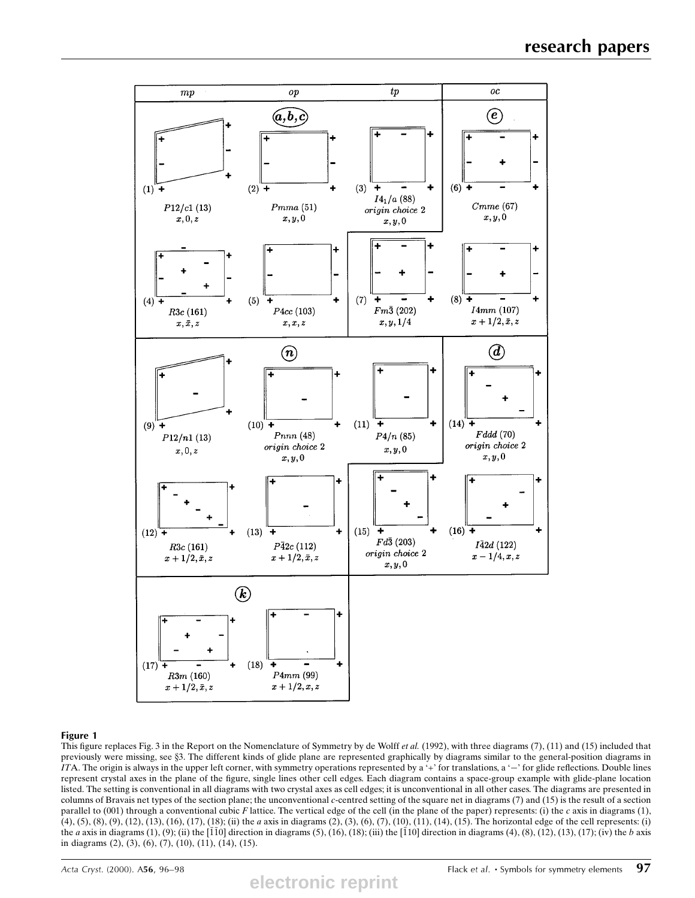

#### Figure 1

This figure replaces Fig. 3 in the Report on the Nomenclature of Symmetry by de Wolff *et al.* (1992), with three diagrams (7), (11) and (15) included that previously were missing, see §3. The different kinds of glide plane are represented graphically by diagrams similar to the general-position diagrams in ITA. The origin is always in the upper left corner, with symmetry operations represented by a '+' for translations, a '-' for glide reflections. Double lines represent crystal axes in the plane of the figure, single lines other cell edges. Each diagram contains a space-group example with glide-plane location listed. The setting is conventional in all diagrams with two crystal axes as cell edges; it is unconventional in all other cases. The diagrams are presented in columns of Bravais net types of the section plane; the unconventional c-centred setting of the square net in diagrams (7) and (15) is the result of a section parallel to  $(001)$  through a conventional cubic F lattice. The vertical edge of the cell (in the plane of the paper) represents: (i) the c axis in diagrams (1), (4), (5), (8), (9), (12), (13), (16), (17), (18); (ii) the a axis in diagrams (2), (3), (6), (7), (10), (11), (14), (15). The horizontal edge of the cell represents: (i) the a axis in diagrams (1), (9); (ii) the  $\overline{110}$  direction in diagrams (5), (16), (18); (iii) the  $\overline{110}$  direction in diagrams (4), (8), (12), (13), (17); (iv) the b axis in diagrams (2), (3), (6), (7), (10), (11), (14), (15).